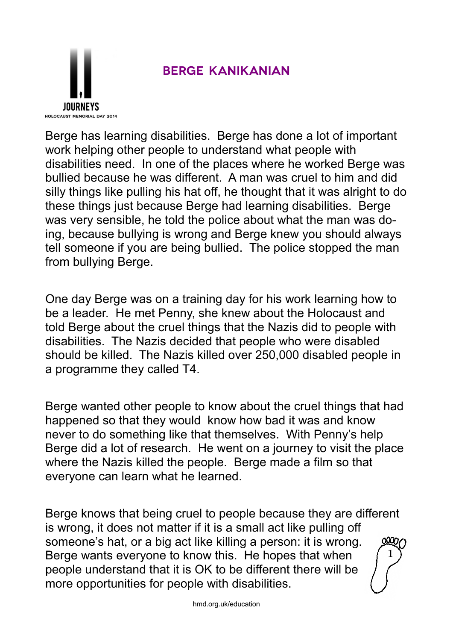

## **Berge Kanikanian**

Berge has learning disabilities. Berge has done a lot of important work helping other people to understand what people with disabilities need. In one of the places where he worked Berge was bullied because he was different. A man was cruel to him and did silly things like pulling his hat off, he thought that it was alright to do these things just because Berge had learning disabilities. Berge was very sensible, he told the police about what the man was doing, because bullying is wrong and Berge knew you should always tell someone if you are being bullied. The police stopped the man from bullying Berge.

One day Berge was on a training day for his work learning how to be a leader. He met Penny, she knew about the Holocaust and told Berge about the cruel things that the Nazis did to people with disabilities. The Nazis decided that people who were disabled should be killed. The Nazis killed over 250,000 disabled people in a programme they called T4.

Berge wanted other people to know about the cruel things that had happened so that they would know how bad it was and know never to do something like that themselves. With Penny's help Berge did a lot of research. He went on a journey to visit the place where the Nazis killed the people. Berge made a film so that everyone can learn what he learned.

Berge knows that being cruel to people because they are different is wrong, it does not matter if it is a small act like pulling off someone's hat, or a big act like killing a person: it is wrong. Berge wants everyone to know this. He hopes that when people understand that it is OK to be different there will be more opportunities for people with disabilities. 1